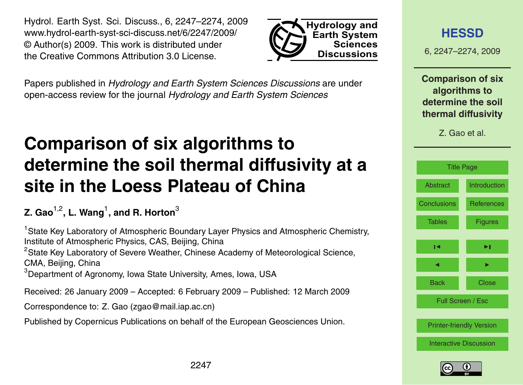<span id="page-0-0"></span>Hydrol. Earth Syst. Sci. Discuss., 6, 2247–2274, 2009 www.hydrol-earth-syst-sci-discuss.net/6/2247/2009/ © Author(s) 2009. This work is distributed under the Creative Commons Attribution 3.0 License.



Papers published in *Hydrology and Earth System Sciences Discussions* are under open-access review for the journal *Hydrology and Earth System Sciences*

# **Comparison of six algorithms to determine the soil thermal diffusivity at a site in the Loess Plateau of China**

## **Z. Gao**1,2**, L. Wang**<sup>1</sup> **, and R. Horton**<sup>3</sup>

<sup>1</sup> State Key Laboratory of Atmospheric Boundary Layer Physics and Atmospheric Chemistry, Institute of Atmospheric Physics, CAS, Beijing, China <sup>2</sup>State Key Laboratory of Severe Weather, Chinese Academy of Meteorological Science, CMA, Beijing, China <sup>3</sup>Department of Agronomy, Iowa State University, Ames, Iowa, USA

Received: 26 January 2009 – Accepted: 6 February 2009 – Published: 12 March 2009

Correspondence to: Z. Gao (zgao@mail.iap.ac.cn)

Published by Copernicus Publications on behalf of the European Geosciences Union.

## **[HESSD](http://www.hydrol-earth-syst-sci-discuss.net)**

6, 2247–2274, 2009

**Comparison of six algorithms to determine the soil thermal diffusivity**

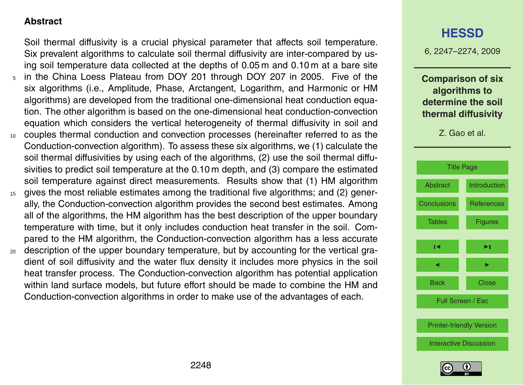#### <span id="page-1-0"></span>**Abstract**

Soil thermal diffusivity is a crucial physical parameter that affects soil temperature. Six prevalent algorithms to calculate soil thermal diffusivity are inter-compared by using soil temperature data collected at the depths of 0.05 m and 0.10 m at a bare site

- <sup>5</sup> in the China Loess Plateau from DOY 201 through DOY 207 in 2005. Five of the six algorithms (i.e., Amplitude, Phase, Arctangent, Logarithm, and Harmonic or HM algorithms) are developed from the traditional one-dimensional heat conduction equation. The other algorithm is based on the one-dimensional heat conduction-convection equation which considers the vertical heterogeneity of thermal diffusivity in soil and
- <sup>10</sup> couples thermal conduction and convection processes (hereinafter referred to as the Conduction-convection algorithm). To assess these six algorithms, we (1) calculate the soil thermal diffusivities by using each of the algorithms, (2) use the soil thermal diffusivities to predict soil temperature at the 0.10 m depth, and (3) compare the estimated soil temperature against direct measurements. Results show that (1) HM algorithm
- <sup>15</sup> gives the most reliable estimates among the traditional five algorithms; and (2) generally, the Conduction-convection algorithm provides the second best estimates. Among all of the algorithms, the HM algorithm has the best description of the upper boundary temperature with time, but it only includes conduction heat transfer in the soil. Compared to the HM algorithm, the Conduction-convection algorithm has a less accurate
- <sub>20</sub> description of the upper boundary temperature, but by accounting for the vertical gradient of soil diffusivity and the water flux density it includes more physics in the soil heat transfer process. The Conduction-convection algorithm has potential application within land surface models, but future effort should be made to combine the HM and Conduction-convection algorithms in order to make use of the advantages of each.

## **[HESSD](http://www.hydrol-earth-syst-sci-discuss.net)**

6, 2247–2274, 2009

**Comparison of six algorithms to determine the soil thermal diffusivity**



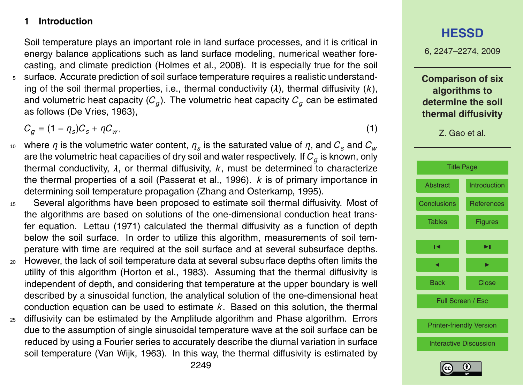#### <span id="page-2-0"></span>**1 Introduction**

Soil temperature plays an important role in land surface processes, and it is critical in energy balance applications such as land surface modeling, numerical weather forecasting, and climate prediction (Holmes et al., 2008). It is especially true for the soil <sup>5</sup> surface. Accurate prediction of soil surface temperature requires a realistic understanding of the soil thermal properties, i.e., thermal conductivity (*λ*), thermal diffusivity (*k*), and volumetric heat capacity ( $\mathcal{C}_g$ ). The volumetric heat capacity  $\mathcal{C}_g$  can be estimated as follows (De Vries, 1963),

 $C_g = (1 - \eta_s)C_s + \eta C_w$ , (1)

- $10$  where  $\eta$  is the volumetric water content,  $\eta_s$  is the saturated value of  $\eta,$  and  ${\cal C}_s$  and  ${\cal C}_w$ are the volumetric heat capacities of dry soil and water respectively. If *C<sup>g</sup>* is known, only thermal conductivity, *λ*, or thermal diffusivity, *k*, must be determined to characterize the thermal properties of a soil (Passerat et al., 1996). *k* is of primary importance in determining soil temperature propagation (Zhang and Osterkamp, 1995).
- <sup>15</sup> Several algorithms have been proposed to estimate soil thermal diffusivity. Most of the algorithms are based on solutions of the one-dimensional conduction heat transfer equation. Lettau (1971) calculated the thermal diffusivity as a function of depth below the soil surface. In order to utilize this algorithm, measurements of soil temperature with time are required at the soil surface and at several subsurface depths.
- <sup>20</sup> However, the lack of soil temperature data at several subsurface depths often limits the utility of this algorithm (Horton et al., 1983). Assuming that the thermal diffusivity is independent of depth, and considering that temperature at the upper boundary is well described by a sinusoidal function, the analytical solution of the one-dimensional heat conduction equation can be used to estimate *k*. Based on this solution, the thermal
- <sup>25</sup> diffusivity can be estimated by the Amplitude algorithm and Phase algorithm. Errors due to the assumption of single sinusoidal temperature wave at the soil surface can be reduced by using a Fourier series to accurately describe the diurnal variation in surface soil temperature (Van Wijk, 1963). In this way, the thermal diffusivity is estimated by

6, 2247–2274, 2009

**Comparison of six algorithms to determine the soil thermal diffusivity**



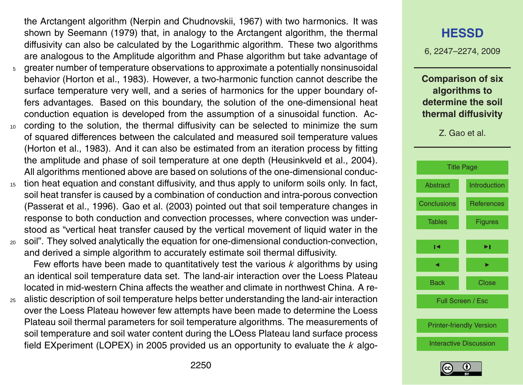the Arctangent algorithm (Nerpin and Chudnovskii, 1967) with two harmonics. It was shown by Seemann (1979) that, in analogy to the Arctangent algorithm, the thermal diffusivity can also be calculated by the Logarithmic algorithm. These two algorithms are analogous to the Amplitude algorithm and Phase algorithm but take advantage of

- $5<sub>5</sub>$  greater number of temperature observations to approximate a potentially nonsinusoidal behavior (Horton et al., 1983). However, a two-harmonic function cannot describe the surface temperature very well, and a series of harmonics for the upper boundary offers advantages. Based on this boundary, the solution of the one-dimensional heat conduction equation is developed from the assumption of a sinusoidal function. Ac-
- <sup>10</sup> cording to the solution, the thermal diffusivity can be selected to minimize the sum of squared differences between the calculated and measured soil temperature values (Horton et al., 1983). And it can also be estimated from an iteration process by fitting the amplitude and phase of soil temperature at one depth (Heusinkveld et al., 2004). All algorithms mentioned above are based on solutions of the one-dimensional conduc-
- <sup>15</sup> tion heat equation and constant diffusivity, and thus apply to uniform soils only. In fact, soil heat transfer is caused by a combination of conduction and intra-porous convection (Passerat et al., 1996). Gao et al. (2003) pointed out that soil temperature changes in response to both conduction and convection processes, where convection was understood as "vertical heat transfer caused by the vertical movement of liquid water in the
- <sup>20</sup> soil". They solved analytically the equation for one-dimensional conduction-convection, and derived a simple algorithm to accurately estimate soil thermal diffusivity.

Few efforts have been made to quantitatively test the various *k* algorithms by using an identical soil temperature data set. The land-air interaction over the Loess Plateau located in mid-western China affects the weather and climate in northwest China. A re-

<sub>25</sub> alistic description of soil temperature helps better understanding the land-air interaction over the Loess Plateau however few attempts have been made to determine the Loess Plateau soil thermal parameters for soil temperature algorithms. The measurements of soil temperature and soil water content during the LOess Plateau land surface process field EXperiment (LOPEX) in 2005 provided us an opportunity to evaluate the *k* algo-

## **[HESSD](http://www.hydrol-earth-syst-sci-discuss.net)**

6, 2247–2274, 2009

**Comparison of six algorithms to determine the soil thermal diffusivity**



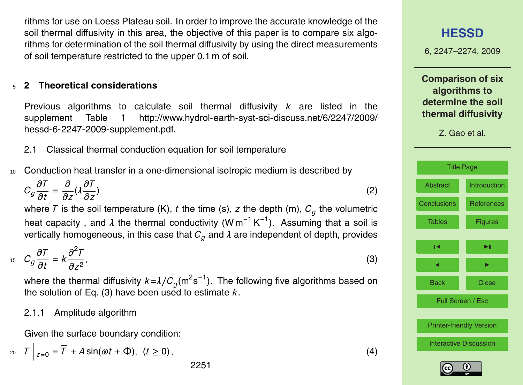rithms for use on Loess Plateau soil. In order to improve the accurate knowledge of the soil thermal diffusivity in this area, the objective of this paper is to compare six algorithms for determination of the soil thermal diffusivity by using the direct measurements of soil temperature restricted to the upper 0.1 m of soil.

#### <sup>5</sup> **2 Theoretical considerations**

Previous algorithms to calculate soil thermal diffusivity *k* are listed in the [s](http://www.hydrol-earth-syst-sci-discuss.net/6/2247/2009/hessd-6-2247-2009-supplement.pdf)upplement Table 1 [http://www.hydrol-earth-syst-sci-discuss.net/6/2247/2009/](http://www.hydrol-earth-syst-sci-discuss.net/6/2247/2009/hessd-6-2247-2009-supplement.pdf) [hessd-6-2247-2009-supplement.pdf.](http://www.hydrol-earth-syst-sci-discuss.net/6/2247/2009/hessd-6-2247-2009-supplement.pdf)

2.1 Classical thermal conduction equation for soil temperature

<sup>10</sup> Conduction heat transfer in a one-dimensional isotropic medium is described by

$$
C_g \frac{\partial T}{\partial t} = \frac{\partial}{\partial z} (\lambda \frac{\partial T}{\partial z}),\tag{2}
$$

where  $\mathcal T$  is the soil temperature (K),  $t$  the time (s),  $z$  the depth (m),  $\mathcal C_g$  the volumetric heat capacity, and *λ* the thermal conductivity (W m<sup>-1</sup> K<sup>-1</sup>). Assuming that a soil is vertically homogeneous, in this case that  $C_q$  and  $\lambda$  are independent of depth, provides

$$
c_g \frac{\partial T}{\partial t} = k \frac{\partial^2 T}{\partial z^2},\tag{3}
$$

where the thermal diffusivity  $k\!=\!\lambda/C_g(\text{m}^2\text{s}^{-1}).$  The following five algorithms based on the solution of Eq. (3) have been used to estimate  $k$ .

#### 2.1.1 Amplitude algorithm

Given the surface boundary condition:

$$
z_0 \quad T \Big|_{z=0} = \overline{T} + A \sin(\omega t + \Phi), \quad (t \ge 0),
$$

**[HESSD](http://www.hydrol-earth-syst-sci-discuss.net)**

6, 2247–2274, 2009

**Comparison of six algorithms to determine the soil thermal diffusivity**

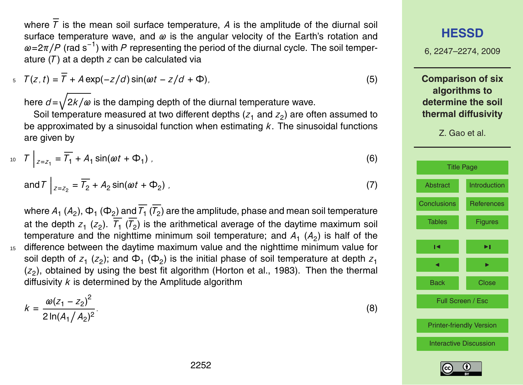where  $\overline{T}$  is the mean soil surface temperature, A is the amplitude of the diurnal soil surface temperature wave, and *ω* is the angular velocity of the Earth's rotation and  $\omega$ =2*π*/*P* (rad s<sup>-1</sup>) with *P* representing the period of the diurnal cycle. The soil temperature (*T* ) at a depth *z* can be calculated via

$$
T(z, t) = T + A \exp(-z/d) \sin(\omega t - z/d + \Phi), \tag{5}
$$

here  $d = \sqrt{2k/\omega}$  is the damping depth of the diurnal temperature wave.

Soil temperature measured at two different depths ( $z_1$  and  $z_2$ ) are often assumed to be approximated by a sinusoidal function when estimating *k*. The sinusoidal functions are given by

$$
T\bigg|_{z=z_1} = \overline{T_1} + A_1 \sin(\omega t + \Phi_1) \tag{6}
$$

and 
$$
T \bigg|_{z=z_2} = \overline{T_2} + A_2 \sin(\omega t + \Phi_2)
$$
, (7)

where  $A_1$  ( $A_2$ ),  $\Phi_1$  ( $\Phi_2$ ) and  $T_1$  ( $T_2$ ) are the amplitude, phase and mean soil temperature at the depth  $z_1$  ( $z_2$ ).  $\tau_1$  ( $\tau_2$ ) is the arithmetical average of the daytime maximum soil temperature and the nighttime minimum soil temperature; and  $A_1$   $(A_2)$  is half of the <sup>15</sup> difference between the daytime maximum value and the nighttime minimum value for soil depth of  $z_1$  ( $z_2$ ); and  $\Phi_1$  ( $\Phi_2$ ) is the initial phase of soil temperature at depth  $z_1$ ( $z_2$ ), obtained by using the best fit algorithm (Horton et al., 1983). Then the thermal diffusivity *k* is determined by the Amplitude algorithm

$$
k = \frac{\omega(z_1 - z_2)^2}{2 \ln(A_1/A_2)^2}.
$$
 (8)

6, 2247–2274, 2009 **Comparison of six algorithms to determine the soil thermal diffusivity** Z. Gao et al. [Title Page](#page-0-0) [Abstract](#page-1-0) [Introduction](#page-2-0) [Conclusions](#page-15-0) [References](#page-16-0) [Tables](#page-17-0) [Figures](#page-21-0)  $\overline{\phantom{a}}$ J I Back Close Full Screen / Esc

**[HESSD](http://www.hydrol-earth-syst-sci-discuss.net)**

[Printer-friendly Version](http://www.hydrol-earth-syst-sci-discuss.net/6/2247/2009/hessd-6-2247-2009-print.pdf)

[Interactive Discussion](http://www.hydrol-earth-syst-sci-discuss.net/6/2247/2009/hessd-6-2247-2009-discussion.html)

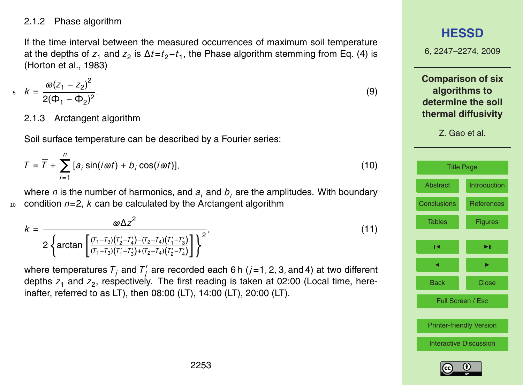#### <span id="page-6-0"></span>2.1.2 Phase algorithm

If the time interval between the measured occurrences of maximum soil temperature at the depths of *z*<sup>1</sup> and *z*<sup>2</sup> is ∆*t*=*t*2−*t*<sup>1</sup> , the Phase algorithm stemming from Eq. (4) is (Horton et al., 1983)

$$
k = \frac{\omega(z_1 - z_2)^2}{2(\Phi_1 - \Phi_2)^2}.
$$
\n(9)

#### 2.1.3 Arctangent algorithm

Soil surface temperature can be described by a Fourier series:

$$
T = \overline{T} + \sum_{i=1}^{n} [a_i \sin(i\omega t) + b_i \cos(i\omega t)],
$$
 (10)

where *n* is the number of harmonics, and *a<sup>i</sup>* and *b<sup>i</sup>* are the amplitudes. With boundary 10 condition  $n=2$ ,  $k$  can be calculated by the Arctangent algorithm

$$
k = \frac{\omega \Delta z^2}{2 \left\{ \arctan \left[ \frac{(T_1 - T_3)(T_2' - T_4') - (T_2 - T_4)(T_1' - T_3')}{(T_1 - T_3)(T_1' - T_3') + (T_2 - T_4)(T_2' - T_4')} \right] \right\}^2},
$$
\n(11)

where temperatures  $T^{\dagger}_j$  and  $T^{\dagger}_j$ *j* are recorded each 6 h (*j*=1*,* 2*,* 3*,* and 4) at two different depths  $z_1$  and  $z_2$ , respectively. The first reading is taken at 02:00 (Local time, hereinafter, referred to as LT), then 08:00 (LT), 14:00 (LT), 20:00 (LT).

## **[HESSD](http://www.hydrol-earth-syst-sci-discuss.net)**

6, 2247–2274, 2009

**Comparison of six algorithms to determine the soil thermal diffusivity**



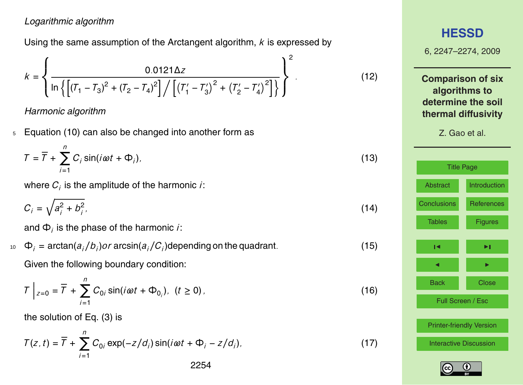#### *Logarithmic algorithm*

Using the same assumption of the Arctangent algorithm, *k* is expressed by

$$
k = \left\{ \frac{0.0121 \Delta z}{\ln \left\{ \left[ (\mathcal{T}_1 - \mathcal{T}_3)^2 + (\mathcal{T}_2 - \mathcal{T}_4)^2 \right] / \left[ (\mathcal{T}_1' - \mathcal{T}_3')^2 + (\mathcal{T}_2' - \mathcal{T}_4')^2 \right] \right\}} \right\}^2.
$$
(12)

*Harmonic algorithm*

<sup>5</sup> Equation [\(10\)](#page-6-0) can also be changed into another form as

$$
T = \overline{T} + \sum_{i=1}^{n} C_i \sin(i\omega t + \Phi_i),
$$
 (13)

where  $\boldsymbol{C}_i$  is the amplitude of the harmonic *i*:

$$
C_i = \sqrt{a_i^2 + b_i^2},\tag{14}
$$

and Φ*<sup>i</sup>* is the phase of the harmonic *i*:

 $\Phi_i = \arctan(a_i/b_i)$ or  $\arcsin(a_i/C_i)$ depending on the quadrant. (15) Given the following boundary condition:

$$
T\Big|_{z=0} = \overline{T} + \sum_{i=1}^{n} C_{0i} \sin(i\omega t + \Phi_{0i}), \quad (t \ge 0), \tag{16}
$$

the solution of Eq. (3) is

$$
T(z, t) = \overline{T} + \sum_{i=1}^{n} C_{0i} \exp(-z/d_i) \sin(i\omega t + \Phi_i - z/d_i),
$$
 (17)

## **[HESSD](http://www.hydrol-earth-syst-sci-discuss.net)** 6, 2247–2274, 2009 **Comparison of six algorithms to determine the soil thermal diffusivity** Z. Gao et al. [Title Page](#page-0-0) [Abstract](#page-1-0) [Introduction](#page-2-0) [Conclusions](#page-15-0) [References](#page-16-0) [Tables](#page-17-0) [Figures](#page-21-0)  $\overline{\phantom{a}}$ J I Back Close Full Screen / Esc [Printer-friendly Version](http://www.hydrol-earth-syst-sci-discuss.net/6/2247/2009/hessd-6-2247-2009-print.pdf) [Interactive Discussion](http://www.hydrol-earth-syst-sci-discuss.net/6/2247/2009/hessd-6-2247-2009-discussion.html)

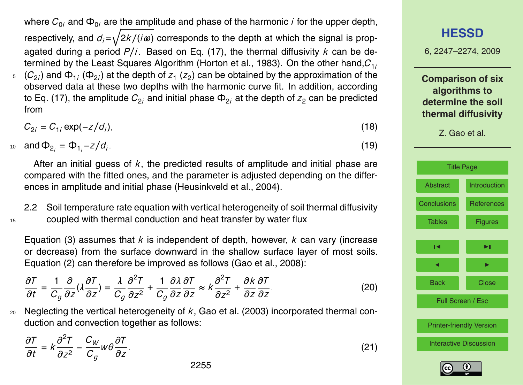where  $C_{0i}$  and  $\Phi_{0i}$  are the amplitude and phase of the harmonic *i* for the upper depth, respectively, and  $d_i = \sqrt{2k/(i\omega)}$  corresponds to the depth at which the signal is propagated during a period *P/i*. Based on Eq. (17), the thermal diffusivity *k* can be determined by the Least Squares Algorithm (Horton et al., 1983). On the other hand,*C*1*<sup>i</sup>*  $_5$   $\,$   $(C_{2i})$  and  $\Phi_{1i}$  ( $\Phi_{2i})$  at the depth of  $z_1$  ( $z_2$ ) can be obtained by the approximation of the observed data at these two depths with the harmonic curve fit. In addition, according to Eq. (17), the amplitude  $C_{2i}$  and initial phase  $\Phi_{2i}$  at the depth of  $z_2$  can be predicted from

$$
C_{2i} = C_{1i} \exp(-z/d_i). \tag{18}
$$

 $a_0$  **and**  $\Phi_{2_i} = \Phi_{1_i} - z/d_i.$  (19)

After an initial guess of *k*, the predicted results of amplitude and initial phase are compared with the fitted ones, and the parameter is adjusted depending on the differences in amplitude and initial phase (Heusinkveld et al., 2004).

2.2 Soil temperature rate equation with vertical heterogeneity of soil thermal diffusivity <sup>15</sup> coupled with thermal conduction and heat transfer by water flux

Equation (3) assumes that *k* is independent of depth, however, *k* can vary (increase or decrease) from the surface downward in the shallow surface layer of most soils. Equation (2) can therefore be improved as follows (Gao et al., 2008):

$$
\frac{\partial T}{\partial t} = \frac{1}{C_g} \frac{\partial}{\partial z} (\lambda \frac{\partial T}{\partial z}) = \frac{\lambda}{C_g} \frac{\partial^2 T}{\partial z^2} + \frac{1}{C_g} \frac{\partial \lambda}{\partial z} \frac{\partial T}{\partial z} \approx k \frac{\partial^2 T}{\partial z^2} + \frac{\partial k}{\partial z} \frac{\partial T}{\partial z}.
$$
(20)

<sup>20</sup> Neglecting the vertical heterogeneity of *k*, Gao et al. (2003) incorporated thermal conduction and convection together as follows:

$$
\frac{\partial T}{\partial t} = k \frac{\partial^2 T}{\partial z^2} - \frac{C_W}{C_g} w \theta \frac{\partial T}{\partial z}.
$$
\n(21)

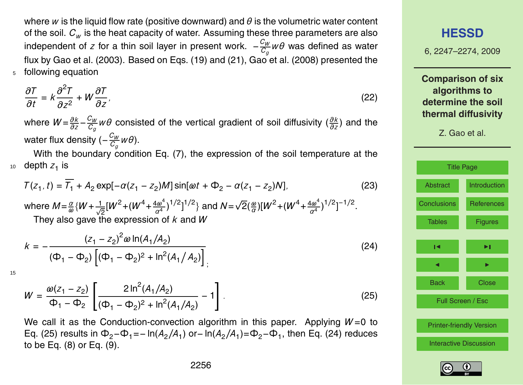where *w* is the liquid flow rate (positive downward) and *θ* is the volumetric water content of the soil. *C<sup>w</sup>* is the heat capacity of water. Assuming these three parameters are also independent of *z* for a thin soil layer in present work.  $-\frac{C_W}{C_W}$ *Cg wθ* was defined as water flux by Gao et al. (2003). Based on Eqs. (19) and (21), Gao et al. (2008) presented the <sup>5</sup> following equation

$$
\frac{\partial T}{\partial t} = k \frac{\partial^2 T}{\partial z^2} + W \frac{\partial T}{\partial z},\tag{22}
$$

where  $W = \frac{\partial k}{\partial z} - \frac{C_W}{C_Q}$ *Cg wθ* consisted of the vertical gradient of soil diffusivity (*∂k ∂z* ) and the water flux density (- $\frac{C_W}{C}$ *Cg wθ*).

With the boundary condition Eq. (7), the expression of the soil temperature at the  $10$  depth  $z_1$  is

$$
T(z_1, t) = \overline{T_1} + A_2 \exp[-\alpha(z_1 - z_2)M] \sin[\omega t + \Phi_2 - \alpha(z_1 - z_2)N],
$$
\n(23)

where *M*= *α*  $\frac{\alpha}{\omega}$ {*W* +  $\frac{1}{\sqrt{2}}$ [*W*<sup>2</sup> + (*W*<sup>4</sup> +  $\frac{4\omega^4}{\alpha^4}$ <sup>*α*</sup><sup>4</sup><sup>2</sup><sup>1</sup>/<sup>2</sup><sub>2</sub><sup>1</sup><sup>2</sup><sup>2</sup><sub>2</sub><sup>4</sup> and *N*=  $\sqrt{2}(\frac{\omega}{\alpha})[W^2 + (W^4 + \frac{4\omega^4}{\alpha^4})]$ <sup>1</sup>*ω*<sup>4</sup></sub> <sup>1</sup>/<sup>2</sup><sub>]</sub><sup>-1/2</sup>. They also gave the expression of *k* and *W*

$$
k = -\frac{(z_1 - z_2)^2 \omega \ln(A_1/A_2)}{(\Phi_1 - \Phi_2) \left[ (\Phi_1 - \Phi_2)^2 + \ln^2(A_1/A_2) \right]}
$$
 (24)

15

$$
W = \frac{\omega(z_1 - z_2)}{\Phi_1 - \Phi_2} \left[ \frac{2 \ln^2(A_1/A_2)}{(\Phi_1 - \Phi_2)^2 + \ln^2(A_1/A_2)} - 1 \right].
$$
 (25)

We call it as the Conduction-convection algorithm in this paper. Applying  $W=0$  to Eq. (25) results in  $\Phi_2-\Phi_1= -\ln(A_2/A_1)$  or− ln( $A_2/A_1$ )= $\Phi_2-\Phi_1$ , then Eq. (24) reduces to be Eq. (8) or Eq. (9).

#### **[HESSD](http://www.hydrol-earth-syst-sci-discuss.net)**

6, 2247–2274, 2009

**Comparison of six algorithms to determine the soil thermal diffusivity**

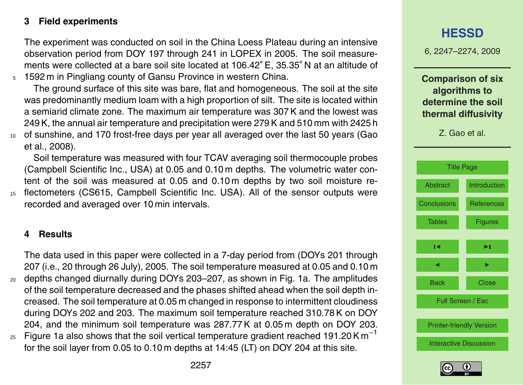#### **3 Field experiments**

The experiment was conducted on soil in the China Loess Plateau during an intensive observation period from DOY 197 through 241 in LOPEX in 2005. The soil measurements were collected at a bare soil site located at 106.42◦ E, 35.35◦ N at an altitude of <sup>5</sup> 1592 m in Pingliang county of Gansu Province in western China.

The ground surface of this site was bare, flat and homogeneous. The soil at the site was predominantly medium loam with a high proportion of silt. The site is located within a semiarid climate zone. The maximum air temperature was 307 K and the lowest was 249 K, the annual air temperature and precipitation were 279 K and 510 mm with 2425 h <sup>10</sup> of sunshine, and 170 frost-free days per year all averaged over the last 50 years (Gao et al., 2008).

Soil temperature was measured with four TCAV averaging soil thermocouple probes (Campbell Scientific Inc., USA) at 0.05 and 0.10 m depths. The volumetric water content of the soil was measured at 0.05 and 0.10 m depths by two soil moisture re-<sup>15</sup> flectometers (CS615, Campbell Scientific Inc. USA). All of the sensor outputs were recorded and averaged over 10 min intervals.

#### **4 Results**

The data used in this paper were collected in a 7-day period from (DOYs 201 through 207 (i.e., 20 through 26 July), 2005. The soil temperature measured at 0.05 and 0.10 m <sup>20</sup> depths changed diurnally during DOYs 203–207, as shown in Fig. 1a. The amplitudes of the soil temperature decreased and the phases shifted ahead when the soil depth increased. The soil temperature at 0.05 m changed in response to intermittent cloudiness during DOYs 202 and 203. The maximum soil temperature reached 310.78 K on DOY 204, and the minimum soil temperature was 287.77 K at 0.05 m depth on DOY 203.

Figure 1a also shows that the soil vertical temperature gradient reached 191.20 K  $m^{-1}$ 25 for the soil layer from 0.05 to 0.10 m depths at 14:45 (LT) on DOY 204 at this site.

## 6, 2247–2274, 2009 **Comparison of six algorithms to determine the soil thermal diffusivity** Z. Gao et al. [Title Page](#page-0-0) [Abstract](#page-1-0) [Introduction](#page-2-0) [Conclusions](#page-15-0) [References](#page-16-0) [Tables](#page-17-0) [Figures](#page-21-0)  $\overline{\phantom{a}}$ J I Back Close Full Screen / Esc [Printer-friendly Version](http://www.hydrol-earth-syst-sci-discuss.net/6/2247/2009/hessd-6-2247-2009-print.pdf) [Interactive Discussion](http://www.hydrol-earth-syst-sci-discuss.net/6/2247/2009/hessd-6-2247-2009-discussion.html)

**[HESSD](http://www.hydrol-earth-syst-sci-discuss.net)**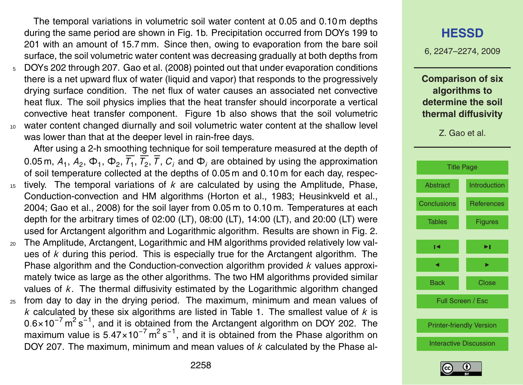The temporal variations in volumetric soil water content at 0.05 and 0.10 m depths during the same period are shown in Fig. 1b. Precipitation occurred from DOYs 199 to 201 with an amount of 15.7 mm. Since then, owing to evaporation from the bare soil surface, the soil volumetric water content was decreasing gradually at both depths from

- <sup>5</sup> DOYs 202 through 207. Gao et al. (2008) pointed out that under evaporation conditions there is a net upward flux of water (liquid and vapor) that responds to the progressively drying surface condition. The net flux of water causes an associated net convective heat flux. The soil physics implies that the heat transfer should incorporate a vertical convective heat transfer component. Figure 1b also shows that the soil volumetric <sup>10</sup> water content changed diurnally and soil volumetric water content at the shallow level
	- was lower than that at the deeper level in rain-free days.

After using a 2-h smoothing technique for soil temperature measured at the depth of 0.05 m,  $A_1$ ,  $A_2$ ,  $\Phi_1$ ,  $\Phi_2$ ,  $T_1$ ,  $T_2$ ,  $T$ ,  $C_j$  and  $\Phi_j$  are obtained by using the approximation of soil temperature collected at the depths of 0.05 m and 0.10 m for each day, respec-

- <sup>15</sup> tively. The temporal variations of *k* are calculated by using the Amplitude, Phase, Conduction-convection and HM algorithms (Horton et al., 1983; Heusinkveld et al., 2004; Gao et al., 2008) for the soil layer from 0.05 m to 0.10 m. Temperatures at each depth for the arbitrary times of 02:00 (LT), 08:00 (LT), 14:00 (LT), and 20:00 (LT) were used for Arctangent algorithm and Logarithmic algorithm. Results are shown in Fig. 2.
- <sup>20</sup> The Amplitude, Arctangent, Logarithmic and HM algorithms provided relatively low values of *k* during this period. This is especially true for the Arctangent algorithm. The Phase algorithm and the Conduction-convection algorithm provided *k* values approximately twice as large as the other algorithms. The two HM algorithms provided similar values of *k*. The thermal diffusivity estimated by the Logarithmic algorithm changed <sup>25</sup> from day to day in the drying period. The maximum, minimum and mean values of
- *k* calculated by these six algorithms are listed in Table 1. The smallest value of *k* is 0.6×10<sup>-7</sup> m<sup>2</sup> s<sup>-1</sup>, and it is obtained from the Arctangent algorithm on DOY 202. The maximum value is 5.47×10<sup>-7</sup> m<sup>2</sup> s<sup>-1</sup>, and it is obtained from the Phase algorithm on DOY 207. The maximum, minimum and mean values of *k* calculated by the Phase al-

### **[HESSD](http://www.hydrol-earth-syst-sci-discuss.net)**

6, 2247–2274, 2009

**Comparison of six algorithms to determine the soil thermal diffusivity**



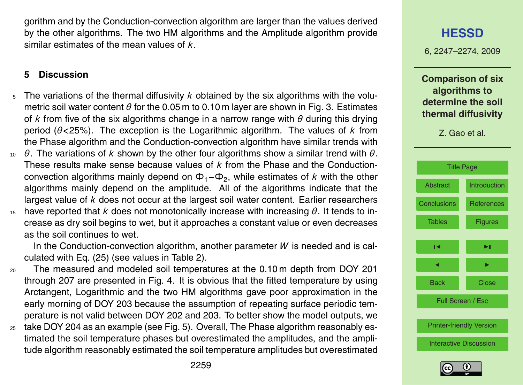gorithm and by the Conduction-convection algorithm are larger than the values derived by the other algorithms. The two HM algorithms and the Amplitude algorithm provide similar estimates of the mean values of *k*.

#### **5 Discussion**

- The variations of the thermal diffusivity *k* obtained by the six algorithms with the volumetric soil water content *θ* for the 0.05 m to 0.10 m layer are shown in Fig. 3. Estimates of *k* from five of the six algorithms change in a narrow range with *θ* during this drying period (*θ<*25%). The exception is the Logarithmic algorithm. The values of *k* from the Phase algorithm and the Conduction-convection algorithm have similar trends with
- <sup>10</sup> *θ*. The variations of *k* shown by the other four algorithms show a similar trend with *θ*. These results make sense because values of *k* from the Phase and the Conductionconvection algorithms mainly depend on Φ1−Φ<sup>2</sup> , while estimates of *k* with the other algorithms mainly depend on the amplitude. All of the algorithms indicate that the largest value of *k* does not occur at the largest soil water content. Earlier researchers
- <sup>15</sup> have reported that *k* does not monotonically increase with increasing *θ*. It tends to increase as dry soil begins to wet, but it approaches a constant value or even decreases as the soil continues to wet.

In the Conduction-convection algorithm, another parameter *W* is needed and is calculated with Eq. (25) (see values in Table 2).

- <sup>20</sup> The measured and modeled soil temperatures at the 0.10 m depth from DOY 201 through 207 are presented in Fig. 4. It is obvious that the fitted temperature by using Arctangent, Logarithmic and the two HM algorithms gave poor approximation in the early morning of DOY 203 because the assumption of repeating surface periodic temperature is not valid between DOY 202 and 203. To better show the model outputs, we  $25$  take DOY 204 as an example (see Fig. 5). Overall, The Phase algorithm reasonably es-
- timated the soil temperature phases but overestimated the amplitudes, and the amplitude algorithm reasonably estimated the soil temperature amplitudes but overestimated

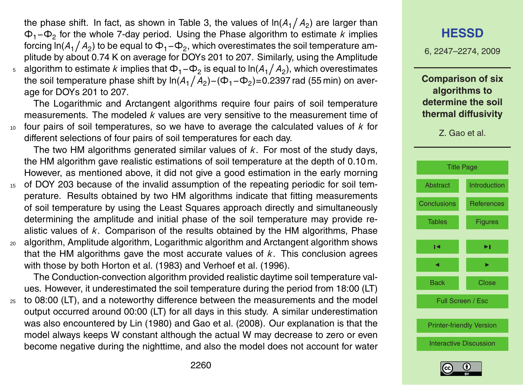the phase shift. In fact, as shown in Table 3, the values of ln $(A_1\big/\,A_2)$  are larger than Φ1−Φ<sup>2</sup> for the whole 7-day period. Using the Phase algorithm to estimate *k* implies forcing ln(*A*<sub>1</sub>/ *A*<sub>2</sub>) to be equal to  $\Phi_1 – \Phi_2$ , which overestimates the soil temperature amplitude by about 0.74 K on average for DOYs 201 to 207. Similarly, using the Amplitude  $^{\circ}$  algorithm to estimate *k* implies that Φ<sub>1</sub>−Φ<sub>2</sub> is equal to ln(*A*<sub>1</sub>/ *A*<sub>2</sub>), which overestimates the soil temperature phase shift by ln( $A_1\big/ A_2)$ –( $\Phi_1$ – $\Phi_2$ )=0.2397 rad (55 min) on average for DOYs 201 to 207.

The Logarithmic and Arctangent algorithms require four pairs of soil temperature measurements. The modeled *k* values are very sensitive to the measurement time of <sup>10</sup> four pairs of soil temperatures, so we have to average the calculated values of *k* for different selections of four pairs of soil temperatures for each day.

The two HM algorithms generated similar values of *k*. For most of the study days, the HM algorithm gave realistic estimations of soil temperature at the depth of 0.10 m. However, as mentioned above, it did not give a good estimation in the early morning

- <sup>15</sup> of DOY 203 because of the invalid assumption of the repeating periodic for soil temperature. Results obtained by two HM algorithms indicate that fitting measurements of soil temperature by using the Least Squares approach directly and simultaneously determining the amplitude and initial phase of the soil temperature may provide realistic values of *k*. Comparison of the results obtained by the HM algorithms, Phase <sup>20</sup> algorithm, Amplitude algorithm, Logarithmic algorithm and Arctangent algorithm shows that the HM algorithms gave the most accurate values of *k*. This conclusion agrees
	- with those by both Horton et al. (1983) and Verhoef et al. (1996).

The Conduction-convection algorithm provided realistic daytime soil temperature values. However, it underestimated the soil temperature during the period from 18:00 (LT)

<sup>25</sup> to 08:00 (LT), and a noteworthy difference between the measurements and the model output occurred around 00:00 (LT) for all days in this study. A similar underestimation was also encountered by Lin (1980) and Gao et al. (2008). Our explanation is that the model always keeps W constant although the actual W may decrease to zero or even become negative during the nighttime, and also the model does not account for water

#### **[HESSD](http://www.hydrol-earth-syst-sci-discuss.net)**

6, 2247–2274, 2009

**Comparison of six algorithms to determine the soil thermal diffusivity**

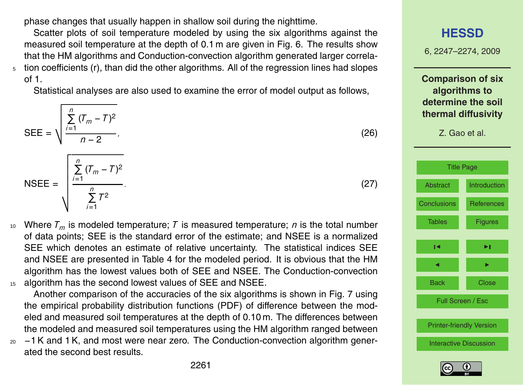phase changes that usually happen in shallow soil during the nighttime.

Scatter plots of soil temperature modeled by using the six algorithms against the measured soil temperature at the depth of 0.1 m are given in Fig. 6. The results show that the HM algorithms and Conduction-convection algorithm generated larger correla- $5<sub>5</sub>$  tion coefficients (r), than did the other algorithms. All of the regression lines had slopes of 1.

Statistical analyses are also used to examine the error of model output as follows,

$$
SEE = \sqrt{\frac{\sum_{i=1}^{n} (T_m - T)^2}{n - 2}},
$$
\n(26)

NSEE = 
$$
\sqrt{\frac{\sum_{i=1}^{n} (T_m - T)^2}{\sum_{i=1}^{n} T^2}}
$$
 (27)

10 Where  $T_m$  is modeled temperature; *T* is measured temperature; *n* is the total number of data points; SEE is the standard error of the estimate; and NSEE is a normalized SEE which denotes an estimate of relative uncertainty. The statistical indices SEE and NSEE are presented in Table 4 for the modeled period. It is obvious that the HM algorithm has the lowest values both of SEE and NSEE. The Conduction-convection <sup>15</sup> algorithm has the second lowest values of SEE and NSEE.

Another comparison of the accuracies of the six algorithms is shown in Fig. 7 using the empirical probability distribution functions (PDF) of difference between the modeled and measured soil temperatures at the depth of 0.10 m. The differences between the modeled and measured soil temperatures using the HM algorithm ranged between

 $20 -1$  K and 1 K, and most were near zero. The Conduction-convection algorithm generated the second best results.

**[HESSD](http://www.hydrol-earth-syst-sci-discuss.net)** 6, 2247–2274, 2009 **Comparison of six algorithms to determine the soil thermal diffusivity** Z. Gao et al. [Title Page](#page-0-0) [Abstract](#page-1-0) [Introduction](#page-2-0) [Conclusions](#page-15-0) [References](#page-16-0) [Tables](#page-17-0) [Figures](#page-21-0) J I J I Back Close Full Screen / Esc [Printer-friendly Version](http://www.hydrol-earth-syst-sci-discuss.net/6/2247/2009/hessd-6-2247-2009-print.pdf) [Interactive Discussion](http://www.hydrol-earth-syst-sci-discuss.net/6/2247/2009/hessd-6-2247-2009-discussion.html)

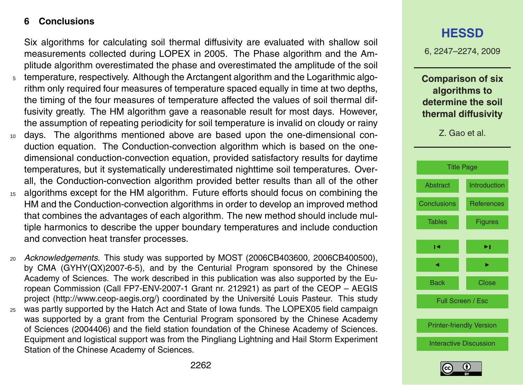#### <span id="page-15-0"></span>**6 Conclusions**

Six algorithms for calculating soil thermal diffusivity are evaluated with shallow soil measurements collected during LOPEX in 2005. The Phase algorithm and the Amplitude algorithm overestimated the phase and overestimated the amplitude of the soil <sup>5</sup> temperature, respectively. Although the Arctangent algorithm and the Logarithmic algorithm only required four measures of temperature spaced equally in time at two depths, the timing of the four measures of temperature affected the values of soil thermal diffusivity greatly. The HM algorithm gave a reasonable result for most days. However,

- the assumption of repeating periodicity for soil temperature is invalid on cloudy or rainy <sup>10</sup> days. The algorithms mentioned above are based upon the one-dimensional conduction equation. The Conduction-convection algorithm which is based on the onedimensional conduction-convection equation, provided satisfactory results for daytime temperatures, but it systematically underestimated nighttime soil temperatures. Overall, the Conduction-convection algorithm provided better results than all of the other
- <sup>15</sup> algorithms except for the HM algorithm. Future efforts should focus on combining the HM and the Conduction-convection algorithms in order to develop an improved method that combines the advantages of each algorithm. The new method should include multiple harmonics to describe the upper boundary temperatures and include conduction and convection heat transfer processes.
- <sup>20</sup> *Acknowledgements.* This study was supported by MOST (2006CB403600, 2006CB400500), by CMA (GYHY(QX)2007-6-5), and by the Centurial Program sponsored by the Chinese Academy of Sciences. The work described in this publication was also supported by the European Commission (Call FP7-ENV-2007-1 Grant nr. 212921) as part of the CEOP – AEGIS project [\(http://www.ceop-aegis.org/\)](http://www.ceop-aegis.org/) coordinated by the Université Louis Pasteur. This studv
- <sup>25</sup> was partly supported by the Hatch Act and State of Iowa funds. The LOPEX05 field campaign was supported by a grant from the Centurial Program sponsored by the Chinese Academy of Sciences (2004406) and the field station foundation of the Chinese Academy of Sciences. Equipment and logistical support was from the Pingliang Lightning and Hail Storm Experiment Station of the Chinese Academy of Sciences.

## **[HESSD](http://www.hydrol-earth-syst-sci-discuss.net)**

6, 2247–2274, 2009

**Comparison of six algorithms to determine the soil thermal diffusivity**



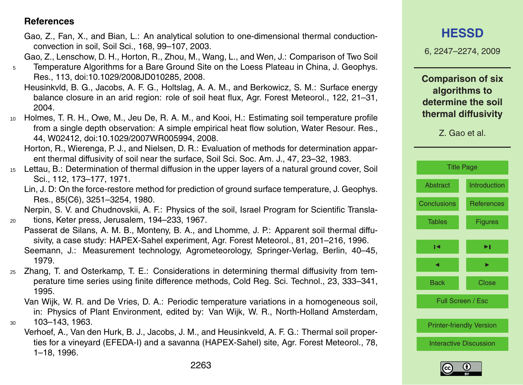#### <span id="page-16-0"></span>**References**

Gao, Z., Fan, X., and Bian, L.: An analytical solution to one-dimensional thermal conductionconvection in soil, Soil Sci., 168, 99–107, 2003.

Gao, Z., Lenschow, D. H., Horton, R., Zhou, M., Wang, L., and Wen, J.: Comparison of Two Soil

- <sup>5</sup> Temperature Algorithms for a Bare Ground Site on the Loess Plateau in China, J. Geophys. Res., 113, doi:10.1029/2008JD010285, 2008.
	- Heusinkvld, B. G., Jacobs, A. F. G., Holtslag, A. A. M., and Berkowicz, S. M.: Surface energy balance closure in an arid region: role of soil heat flux, Agr. Forest Meteorol., 122, 21–31, 2004.
- <sup>10</sup> Holmes, T. R. H., Owe, M., Jeu De, R. A. M., and Kooi, H.: Estimating soil temperature profile from a single depth observation: A simple empirical heat flow solution, Water Resour. Res., 44, W02412, doi:10.1029/2007WR005994, 2008.

Horton, R., Wierenga, P. J., and Nielsen, D. R.: Evaluation of methods for determination apparent thermal diffusivity of soil near the surface, Soil Sci. Soc. Am. J., 47, 23–32, 1983.

- <sup>15</sup> Lettau, B.: Determination of thermal diffusion in the upper layers of a natural ground cover, Soil Sci., 112, 173–177, 1971.
	- Lin, J. D: On the force-restore method for prediction of ground surface temperature, J. Geophys. Res., 85(C6), 3251–3254, 1980.

Nerpin, S. V. and Chudnovskii, A. F.: Physics of the soil, Israel Program for Scientific Transla-<sup>20</sup> tions, Keter press, Jerusalem, 194–233, 1967.

- Passerat de Silans, A. M. B., Monteny, B. A., and Lhomme, J. P.: Apparent soil thermal diffusivity, a case study: HAPEX-Sahel experiment, Agr. Forest Meteorol., 81, 201–216, 1996. Seemann, J.: Measurement technology, Agrometeorology, Springer-Verlag, Berlin, 40–45, 1979.
- <sup>25</sup> Zhang, T. and Osterkamp, T. E.: Considerations in determining thermal diffusivity from temperature time series using finite difference methods, Cold Reg. Sci. Technol., 23, 333–341, 1995.
- Van Wijk, W. R. and De Vries, D. A.: Periodic temperature variations in a homogeneous soil, in: Physics of Plant Environment, edited by: Van Wijk, W. R., North-Holland Amsterdam, <sup>30</sup> 103–143, 1963.
	- Verhoef, A., Van den Hurk, B. J., Jacobs, J. M., and Heusinkveld, A. F. G.: Thermal soil properties for a vineyard (EFEDA-I) and a savanna (HAPEX-Sahel) site, Agr. Forest Meteorol., 78, 1–18, 1996.

6, 2247–2274, 2009

**Comparison of six algorithms to determine the soil thermal diffusivity**

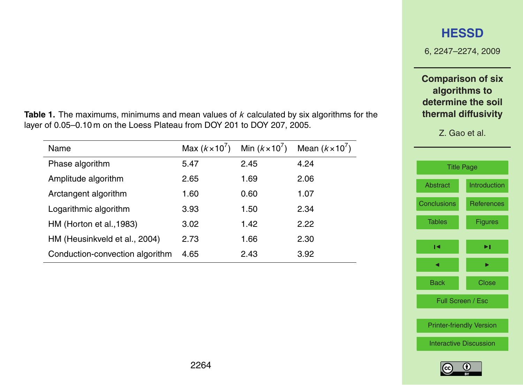6, 2247–2274, 2009

#### **Comparison of six algorithms to determine the soil thermal diffusivity**

Z. Gao et al.

| <b>Title Page</b>               |                   |  |  |
|---------------------------------|-------------------|--|--|
| <b>Abstract</b>                 | Introduction      |  |  |
| <b>Conclusions</b>              | <b>References</b> |  |  |
| <b>Tables</b>                   | <b>Figures</b>    |  |  |
| м                               | ►।                |  |  |
|                                 |                   |  |  |
| <b>Back</b>                     | Close             |  |  |
| Full Screen / Esc               |                   |  |  |
|                                 |                   |  |  |
| <b>Printer-friendly Version</b> |                   |  |  |
| <b>Interactive Discussion</b>   |                   |  |  |
|                                 |                   |  |  |

<span id="page-17-0"></span>**Table 1.** The maximums, minimums and mean values of *k* calculated by six algorithms for the layer of 0.05–0.10 m on the Loess Plateau from DOY 201 to DOY 207, 2005.

| Name                            | Max $(k \times 10^7)$ | Min $(k \times 10^7)$ | Mean $(k \times 10^7)$ |
|---------------------------------|-----------------------|-----------------------|------------------------|
| Phase algorithm                 | 5.47                  | 2.45                  | 4.24                   |
| Amplitude algorithm             | 2.65                  | 1.69                  | 2.06                   |
| Arctangent algorithm            | 1.60                  | 0.60                  | 1.07                   |
| Logarithmic algorithm           | 3.93                  | 1.50                  | 2.34                   |
| HM (Horton et al., 1983)        | 3.02                  | 1.42                  | 2.22                   |
| HM (Heusinkveld et al., 2004)   | 2.73                  | 1.66                  | 2.30                   |
| Conduction-convection algorithm | 4.65                  | 2.43                  | 3.92                   |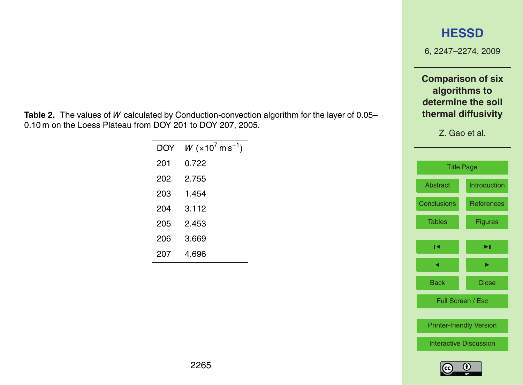6, 2247–2274, 2009

**Comparison of six algorithms to determine the soil thermal diffusivity**

Z. Gao et al.



**Table 2.** The values of *W* calculated by Conduction-convection algorithm for the layer of 0.05– 0.10 m on the Loess Plateau from DOY 201 to DOY 207, 2005.

| DOY | $W$ (×10 $^7$ m s $^{-1}$ ) |
|-----|-----------------------------|
| 201 | በ 722                       |
| 202 | 2 755                       |
| 203 | 1.454                       |
| 204 | 3.112                       |
| 205 | 2453                        |
| 206 | 3.669                       |
| 207 | 4.696                       |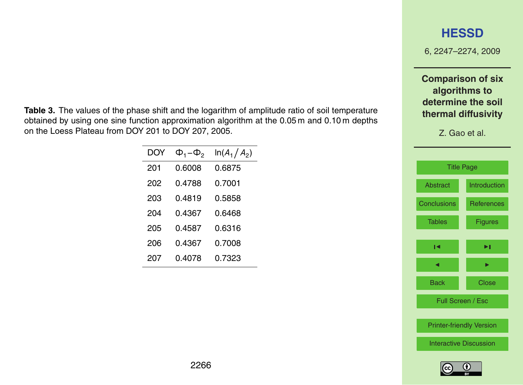6, 2247–2274, 2009

**Comparison of six algorithms to determine the soil thermal diffusivity**

Z. Gao et al.



**Table 3.** The values of the phase shift and the logarithm of amplitude ratio of soil temperature obtained by using one sine function approximation algorithm at the 0.05 m and 0.10 m depths on the Loess Plateau from DOY 201 to DOY 207, 2005.

| DOY | $\Phi_1 - \Phi_2$ | $ln(A_1/A_2)$ |
|-----|-------------------|---------------|
| 201 | 0.6008            | 0.6875        |
| 202 | 0.4788            | 0.7001        |
| 203 | 0.4819            | 0.5858        |
| 204 | 0 4367            | 0 6468        |
| 205 | 0 4587            | 0.6316        |
| 206 | 0.4367            | 0.7008        |
| 207 | 0.4078            | 0.7323        |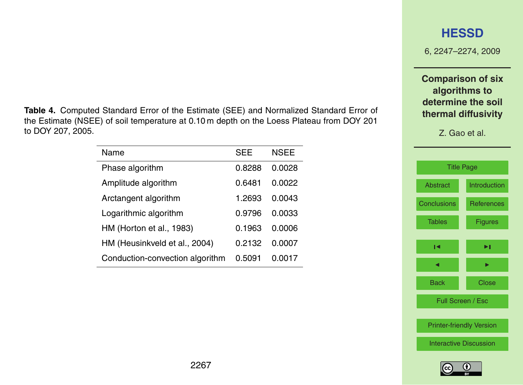**Table 4.** Computed Standard Error of the Estimate (SEE) and Normalized Standard Error of the Estimate (NSEE) of soil temperature at 0.10 m depth on the Loess Plateau from DOY 201 to DOY 207, 2005.

| Name                            | SEE           | <b>NSEE</b> |
|---------------------------------|---------------|-------------|
| Phase algorithm                 | 0.8288        | 0.0028      |
| Amplitude algorithm             | 0.6481        | 0.0022      |
| Arctangent algorithm            | 1.2693        | 0.0043      |
| Logarithmic algorithm           | <u>በ 9796</u> | 0.0033      |
| HM (Horton et al., 1983)        | 0.1963        | 0.0006      |
| HM (Heusinkveld et al., 2004)   | 0.2132        | 0.0007      |
| Conduction-convection algorithm | 0.5091        | 0.0017      |



6, 2247–2274, 2009

**Comparison of six algorithms to determine the soil thermal diffusivity**

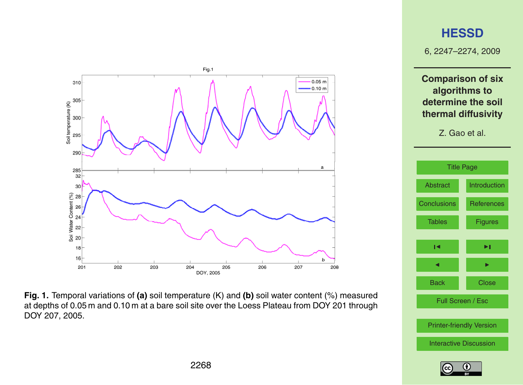<span id="page-21-0"></span>





[Printer-friendly Version](http://www.hydrol-earth-syst-sci-discuss.net/6/2247/2009/hessd-6-2247-2009-print.pdf)

Back Close

Full Screen / Esc

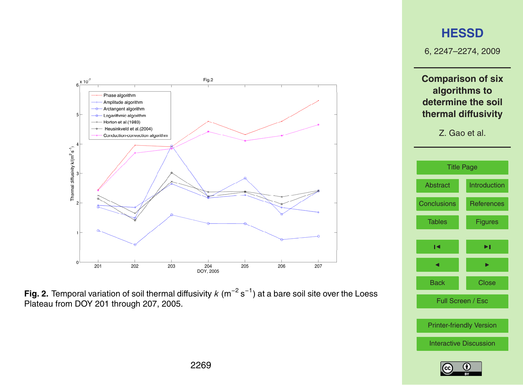



6, 2247–2274, 2009

**Comparison of six algorithms to determine the soil thermal diffusivity**



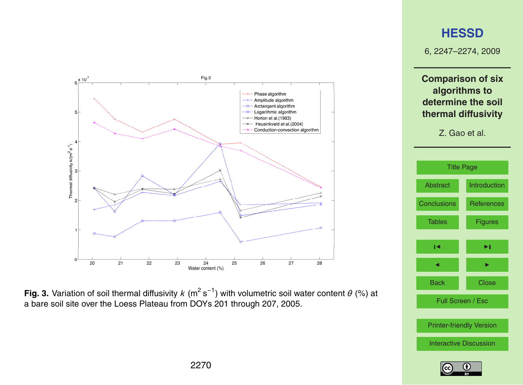

Fig. 3. Variation of soil thermal diffusivity k (m<sup>2</sup> s<sup>-1</sup>) with volumetric soil water content  $\theta$  (%) at 6 (%) at a bare soil site over the Loess Plateau from DOYs 201 through 207, 2005. a bare soil site over the Loess Plateau from DOYs 201 through 207, 2005.

6, 2247–2274, 2009

**Comparison of six algorithms to determine the soil thermal diffusivity**

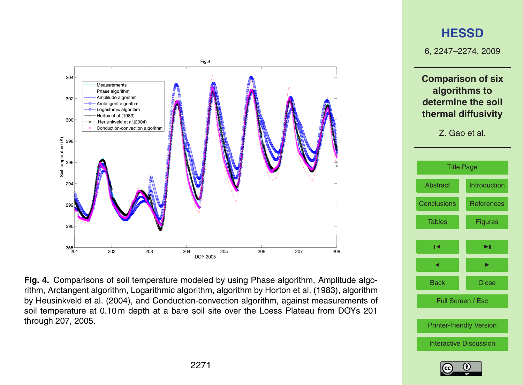

Fig. 4. Comparisons of soil temperature modeled by using Phase algorithm, Amplitude algo-3 algorithm, Arctangent algorithm, Logarithmic algorithm, algorithm by Horton et al.(1983), rithm, Arctangent algorithm, Logarithmic algorithm, algorithm by Horton et al. (1983), algorithm by Heusinkveld et al. (2004), and Conduction-convection algorithm, against measurements of soil temperature at 0.10 m depth at a bare soil site over the Loess Plateau from DOYs 201 through 207, 2005.

## **[HESSD](http://www.hydrol-earth-syst-sci-discuss.net)**

6, 2247–2274, 2009

**Comparison of six algorithms to determine the soil thermal diffusivity**

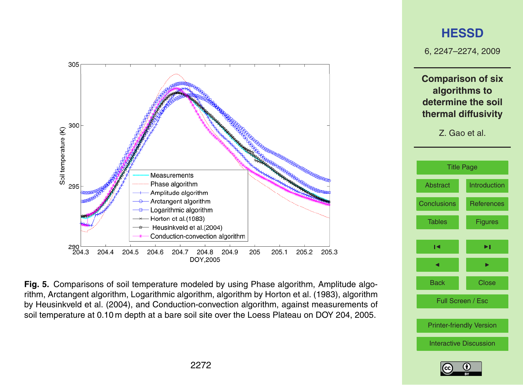

Fig. 5. Comparisons of soil temperature modeled by using Phase algorithm, Amplitude algorithm, Arctangent algorithm, Logarithmic algorithm, algorithm by Horton et al. (1983), algorithm by Heusinkveld et al. (2004), and Conduction-convection algorithm, against measurements of soil temperature at 0.10 m depth at a bare soil site over the Loess Plateau on DOY 204, 2005.

## **[HESSD](http://www.hydrol-earth-syst-sci-discuss.net)**

6, 2247–2274, 2009

**Comparison of six algorithms to determine the soil thermal diffusivity**



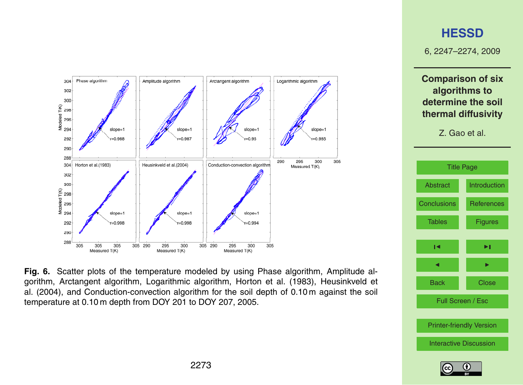

Fig. 6. Scatter plots of the temperature modeled by using Phase algorithm, Amplitude al-3 algorithm, Arctangent algorithm, Logarithmic algorithm, Horton et al.(1983), Heusinkveld et gorithm, Arctangent algorithm, Logarithmic algorithm, Horton et al. (1983), Heusinkveld et genam, metangent algenam, Eeganame algenam, netter of all (1999), neaemitted of all (2004), and Conduction-convection algorithm for the soil depth of 0.10 m against the soil 5 temperature at 0.10 m depth from DOY 201 to DOY 207, 2005. temperature at 0.10 m depth from DOY 201 to DOY 207, 2005.

## **[HESSD](http://www.hydrol-earth-syst-sci-discuss.net)**

6, 2247–2274, 2009

**Comparison of six algorithms to determine the soil thermal diffusivity**